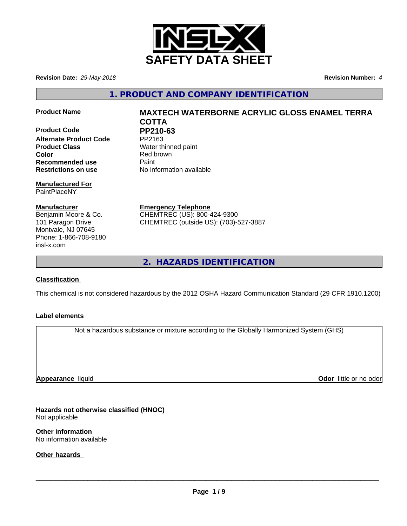

**Revision Date:** *29-May-2018* **Revision Number:** *4*

**1. PRODUCT AND COMPANY IDENTIFICATION**

**Product Code PP210-63**<br>Alternate Product Code PP2163 **Alternate Product Code Product Class** Water thinned paint **Color** Red brown **Recommended use** Paint **Restrictions on use** No information available

**Manufactured For** PaintPlaceNY

**Manufacturer** Benjamin Moore & Co. 101 Paragon Drive Montvale, NJ 07645 Phone: 1-866-708-9180 insl-x.com

**Product Name MAXTECH WATERBORNE ACRYLIC GLOSS ENAMEL TERRA COTTA**

**Emergency Telephone** CHEMTREC (US): 800-424-9300 CHEMTREC (outside US): (703)-527-3887

**2. HAZARDS IDENTIFICATION**

## **Classification**

This chemical is not considered hazardous by the 2012 OSHA Hazard Communication Standard (29 CFR 1910.1200)

## **Label elements**

Not a hazardous substance or mixture according to the Globally Harmonized System (GHS)

**Appearance** liquid

**Odor** little or no odor

**Hazards not otherwise classified (HNOC)** Not applicable

**Other information** No information available

**Other hazards**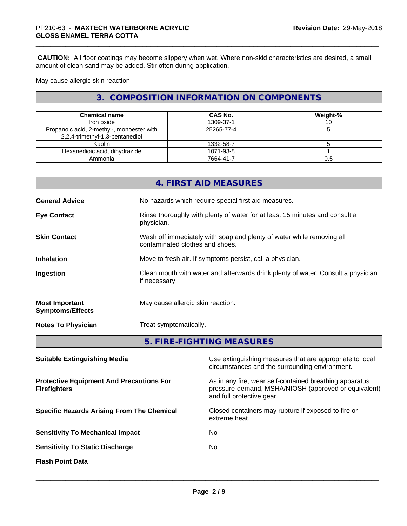**CAUTION:** All floor coatings may become slippery when wet. Where non-skid characteristics are desired, a small amount of clean sand may be added. Stir often during application.

May cause allergic skin reaction

# **3. COMPOSITION INFORMATION ON COMPONENTS**

| <b>Chemical name</b>                                                         | CAS No.    | Weight-% |
|------------------------------------------------------------------------------|------------|----------|
| Iron oxide                                                                   | 1309-37-1  |          |
| Propanoic acid, 2-methyl-, monoester with<br>2,2,4-trimethyl-1,3-pentanediol | 25265-77-4 |          |
| Kaolin                                                                       | 1332-58-7  |          |
| Hexanedioic acid, dihydrazide                                                | 1071-93-8  |          |
| Ammonia                                                                      | 7664-41-7  | 0.5      |

|                                                  | 4. FIRST AID MEASURES                                                                                    |
|--------------------------------------------------|----------------------------------------------------------------------------------------------------------|
| <b>General Advice</b>                            | No hazards which require special first aid measures.                                                     |
| <b>Eye Contact</b>                               | Rinse thoroughly with plenty of water for at least 15 minutes and consult a<br>physician.                |
| <b>Skin Contact</b>                              | Wash off immediately with soap and plenty of water while removing all<br>contaminated clothes and shoes. |
| <b>Inhalation</b>                                | Move to fresh air. If symptoms persist, call a physician.                                                |
| Ingestion                                        | Clean mouth with water and afterwards drink plenty of water. Consult a physician<br>if necessary.        |
| <b>Most Important</b><br><b>Symptoms/Effects</b> | May cause allergic skin reaction.                                                                        |
| <b>Notes To Physician</b>                        | Treat symptomatically.                                                                                   |
|                                                  | FIDE FIQUEIN Q ME MOUDEQ                                                                                 |

**5. FIRE-FIGHTING MEASURES**

| <b>Suitable Extinguishing Media</b>                                    | Use extinguishing measures that are appropriate to local<br>circumstances and the surrounding environment.                                   |
|------------------------------------------------------------------------|----------------------------------------------------------------------------------------------------------------------------------------------|
| <b>Protective Equipment And Precautions For</b><br><b>Firefighters</b> | As in any fire, wear self-contained breathing apparatus<br>pressure-demand, MSHA/NIOSH (approved or equivalent)<br>and full protective gear. |
| <b>Specific Hazards Arising From The Chemical</b>                      | Closed containers may rupture if exposed to fire or<br>extreme heat.                                                                         |
| <b>Sensitivity To Mechanical Impact</b>                                | No.                                                                                                                                          |
| <b>Sensitivity To Static Discharge</b>                                 | No                                                                                                                                           |
| <b>Flash Point Data</b>                                                |                                                                                                                                              |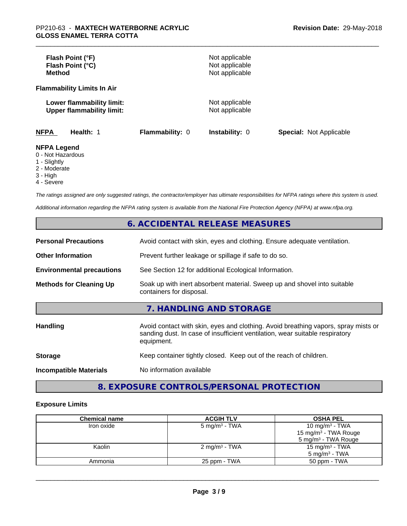| Flash Point (°F)<br>Flash Point (°C)<br><b>Method</b>                  |                        | Not applicable<br>Not applicable<br>Not applicable |                                |
|------------------------------------------------------------------------|------------------------|----------------------------------------------------|--------------------------------|
| <b>Flammability Limits In Air</b>                                      |                        |                                                    |                                |
| Lower flammability limit:<br><b>Upper flammability limit:</b>          |                        | Not applicable<br>Not applicable                   |                                |
| <b>NFPA</b><br>Health: 1                                               | <b>Flammability: 0</b> | <b>Instability: 0</b>                              | <b>Special: Not Applicable</b> |
| <b>NFPA Legend</b><br>0 - Not Hazardous<br>$\overline{A}$ Clientals of |                        |                                                    |                                |

1 - Slightly

2 - Moderate

3 - High

4 - Severe

*The ratings assigned are only suggested ratings, the contractor/employer has ultimate responsibilities for NFPA ratings where this system is used.*

*Additional information regarding the NFPA rating system is available from the National Fire Protection Agency (NFPA) at www.nfpa.org.*

# **6. ACCIDENTAL RELEASE MEASURES**

| <b>Personal Precautions</b>      | Avoid contact with skin, eyes and clothing. Ensure adequate ventilation.                                                                                                         |
|----------------------------------|----------------------------------------------------------------------------------------------------------------------------------------------------------------------------------|
| <b>Other Information</b>         | Prevent further leakage or spillage if safe to do so.                                                                                                                            |
| <b>Environmental precautions</b> | See Section 12 for additional Ecological Information.                                                                                                                            |
| <b>Methods for Cleaning Up</b>   | Soak up with inert absorbent material. Sweep up and shovel into suitable<br>containers for disposal.                                                                             |
|                                  | 7. HANDLING AND STORAGE                                                                                                                                                          |
| Handling                         | Avoid contact with skin, eyes and clothing. Avoid breathing vapors, spray mists or<br>sanding dust. In case of insufficient ventilation, wear suitable respiratory<br>equipment. |
| <b>Storage</b>                   | Keep container tightly closed. Keep out of the reach of children.                                                                                                                |
| <b>Incompatible Materials</b>    | No information available                                                                                                                                                         |

# **8. EXPOSURE CONTROLS/PERSONAL PROTECTION**

### **Exposure Limits**

| <b>Chemical name</b> | <b>ACGIH TLV</b>          | <b>OSHA PEL</b>                  |
|----------------------|---------------------------|----------------------------------|
| Iron oxide           | 5 mg/m $3$ - TWA          | 10 mg/m <sup>3</sup> - TWA       |
|                      |                           | 15 mg/m <sup>3</sup> - TWA Rouge |
|                      |                           | 5 mg/m <sup>3</sup> - TWA Rouge  |
| Kaolin               | 2 mg/m <sup>3</sup> - TWA | 15 mg/m $3$ - TWA                |
|                      |                           | 5 mg/m $3$ - TWA                 |
| Ammonia              | 25 ppm - TWA              | 50 ppm - TWA                     |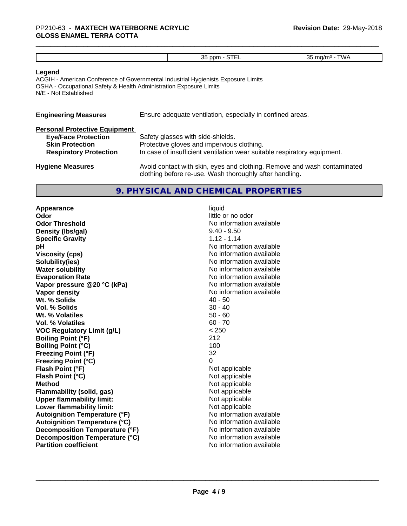### **Legend**

ACGIH - American Conference of Governmental Industrial Hygienists Exposure Limits OSHA - Occupational Safety & Health Administration Exposure Limits N/E - Not Established

| <b>Engineering Measures</b>          | Ensure adequate ventilation, especially in confined areas. |
|--------------------------------------|------------------------------------------------------------|
| <b>Personal Protective Equipment</b> |                                                            |

| <b>Eye/Face Protection</b><br><b>Skin Protection</b> | Safety glasses with side-shields.<br>Protective gloves and impervious clothing.                                                     |
|------------------------------------------------------|-------------------------------------------------------------------------------------------------------------------------------------|
| <b>Respiratory Protection</b>                        | In case of insufficient ventilation wear suitable respiratory equipment.                                                            |
| <b>Hygiene Measures</b>                              | Avoid contact with skin, eyes and clothing. Remove and wash contaminated<br>clothing before re-use. Wash thoroughly after handling. |

### **9. PHYSICAL AND CHEMICAL PROPERTIES**

**Appearance** liquid **Odor** little or no odor **Odor Threshold No information available No information available Density (Ibs/gal)** 2.40 - 9.50 **Specific Gravity** 1.12 - 1.14 **pH pH**  $\blacksquare$ **Viscosity (cps)** No information available **Solubility(ies)** No information available **Water solubility Water solubility Water solubility Water solubility Water solubility Water solution Evaporation Rate Conservation Rate** No information available<br> **Vapor pressure @20 °C (kPa)** No information available **Vapor** pressure @20 °C (kPa) **Vapor density No information available Wt. % Solids** 40 - 50<br> **Vol. % Solids** 30 - 40 **Vol. % Solids** 30 - 40<br> **Wt. % Volatiles** 30 - 40 **Wt. % Volatiles Vol. % Volatiles** 60 - 70 **VOC Regulatory Limit (g/L)** < 250 **Boiling Point (°F)** 212 **Boiling Point (°C)** 100 **Freezing Point (°F)** 32 **Freezing Point (°C)**<br> **Flash Point (°F)**<br> **Flash Point (°F)**<br> **Point (°F) Flash Point (°F)**<br> **Flash Point (°C)**<br> **Flash Point (°C)**<br> **C** Not applicable **Flash Point (°C) Method**<br> **Flammability (solid, gas)**<br> **Example 2018** Not applicable **Flammability (solid, gas)** Not applicable<br> **Upper flammability limit:** Not applicable **Upper flammability limit: Lower flammability limit:** Not applicable **Autoignition Temperature (°F)** No information available **Autoignition Temperature (°C)** No information available **Decomposition Temperature (°F)** No information available **Decomposition Temperature (°C)** No information available **Partition coefficient** No information available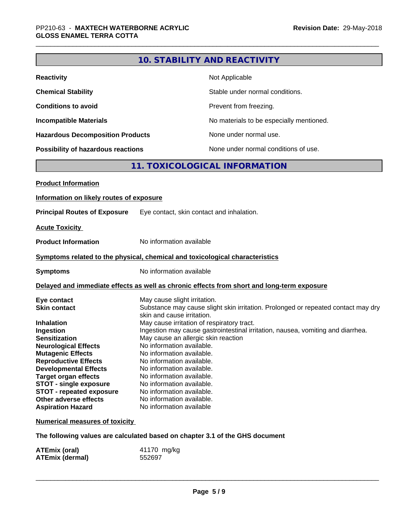|                                                                                                                                                                                                                                                                                                                                                                                |                                                                                                                                                                                                                                                                                                                                | <b>10. STABILITY AND REACTIVITY</b>                                                                                                                                                                                                                       |
|--------------------------------------------------------------------------------------------------------------------------------------------------------------------------------------------------------------------------------------------------------------------------------------------------------------------------------------------------------------------------------|--------------------------------------------------------------------------------------------------------------------------------------------------------------------------------------------------------------------------------------------------------------------------------------------------------------------------------|-----------------------------------------------------------------------------------------------------------------------------------------------------------------------------------------------------------------------------------------------------------|
| <b>Reactivity</b>                                                                                                                                                                                                                                                                                                                                                              |                                                                                                                                                                                                                                                                                                                                | Not Applicable                                                                                                                                                                                                                                            |
| <b>Chemical Stability</b>                                                                                                                                                                                                                                                                                                                                                      |                                                                                                                                                                                                                                                                                                                                | Stable under normal conditions.                                                                                                                                                                                                                           |
| <b>Conditions to avoid</b>                                                                                                                                                                                                                                                                                                                                                     |                                                                                                                                                                                                                                                                                                                                | Prevent from freezing.                                                                                                                                                                                                                                    |
| <b>Incompatible Materials</b>                                                                                                                                                                                                                                                                                                                                                  |                                                                                                                                                                                                                                                                                                                                | No materials to be especially mentioned.                                                                                                                                                                                                                  |
| <b>Hazardous Decomposition Products</b>                                                                                                                                                                                                                                                                                                                                        |                                                                                                                                                                                                                                                                                                                                | None under normal use.                                                                                                                                                                                                                                    |
| <b>Possibility of hazardous reactions</b>                                                                                                                                                                                                                                                                                                                                      |                                                                                                                                                                                                                                                                                                                                | None under normal conditions of use.                                                                                                                                                                                                                      |
|                                                                                                                                                                                                                                                                                                                                                                                |                                                                                                                                                                                                                                                                                                                                | 11. TOXICOLOGICAL INFORMATION                                                                                                                                                                                                                             |
| <b>Product Information</b>                                                                                                                                                                                                                                                                                                                                                     |                                                                                                                                                                                                                                                                                                                                |                                                                                                                                                                                                                                                           |
| Information on likely routes of exposure                                                                                                                                                                                                                                                                                                                                       |                                                                                                                                                                                                                                                                                                                                |                                                                                                                                                                                                                                                           |
| <b>Principal Routes of Exposure</b>                                                                                                                                                                                                                                                                                                                                            |                                                                                                                                                                                                                                                                                                                                | Eye contact, skin contact and inhalation.                                                                                                                                                                                                                 |
| <b>Acute Toxicity</b>                                                                                                                                                                                                                                                                                                                                                          |                                                                                                                                                                                                                                                                                                                                |                                                                                                                                                                                                                                                           |
| <b>Product Information</b>                                                                                                                                                                                                                                                                                                                                                     | No information available                                                                                                                                                                                                                                                                                                       |                                                                                                                                                                                                                                                           |
| Symptoms related to the physical, chemical and toxicological characteristics                                                                                                                                                                                                                                                                                                   |                                                                                                                                                                                                                                                                                                                                |                                                                                                                                                                                                                                                           |
| <b>Symptoms</b>                                                                                                                                                                                                                                                                                                                                                                | No information available                                                                                                                                                                                                                                                                                                       |                                                                                                                                                                                                                                                           |
|                                                                                                                                                                                                                                                                                                                                                                                |                                                                                                                                                                                                                                                                                                                                | Delayed and immediate effects as well as chronic effects from short and long-term exposure                                                                                                                                                                |
| Eye contact<br><b>Skin contact</b><br><b>Inhalation</b><br>Ingestion<br><b>Sensitization</b><br><b>Neurological Effects</b><br><b>Mutagenic Effects</b><br><b>Reproductive Effects</b><br><b>Developmental Effects</b><br><b>Target organ effects</b><br><b>STOT - single exposure</b><br><b>STOT - repeated exposure</b><br>Other adverse effects<br><b>Aspiration Hazard</b> | May cause slight irritation.<br>skin and cause irritation.<br>No information available.<br>No information available.<br>No information available.<br>No information available.<br>No information available.<br>No information available.<br>No information available.<br>No information available.<br>No information available | Substance may cause slight skin irritation. Prolonged or repeated contact may dry<br>May cause irritation of respiratory tract.<br>Ingestion may cause gastrointestinal irritation, nausea, vomiting and diarrhea.<br>May cause an allergic skin reaction |
| <b>Numerical measures of toxicity</b>                                                                                                                                                                                                                                                                                                                                          |                                                                                                                                                                                                                                                                                                                                |                                                                                                                                                                                                                                                           |
|                                                                                                                                                                                                                                                                                                                                                                                |                                                                                                                                                                                                                                                                                                                                | The following values are calculated based on chapter 3.1 of the GHS document                                                                                                                                                                              |
|                                                                                                                                                                                                                                                                                                                                                                                |                                                                                                                                                                                                                                                                                                                                |                                                                                                                                                                                                                                                           |

| <b>ATEmix (oral)</b>   | 41170 mg/kg |
|------------------------|-------------|
| <b>ATEmix (dermal)</b> | 552697      |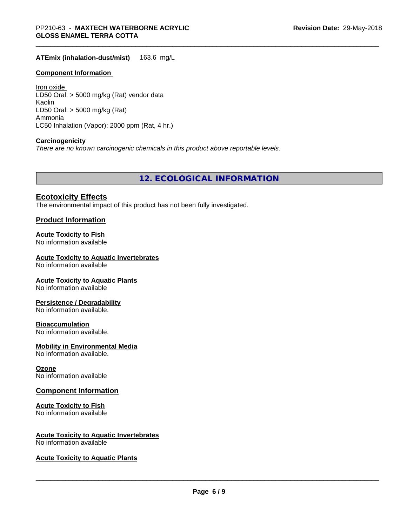**ATEmix (inhalation-dust/mist)** 163.6 mg/L

### **Component Information**

Iron oxide LD50 Oral: > 5000 mg/kg (Rat) vendor data Kaolin LD50 Oral: > 5000 mg/kg (Rat) Ammonia LC50 Inhalation (Vapor): 2000 ppm (Rat, 4 hr.)

#### **Carcinogenicity**

*There are no known carcinogenic chemicals in this product above reportable levels.*

**12. ECOLOGICAL INFORMATION**

### **Ecotoxicity Effects**

The environmental impact of this product has not been fully investigated.

### **Product Information**

### **Acute Toxicity to Fish**

No information available

#### **Acute Toxicity to Aquatic Invertebrates**

No information available

#### **Acute Toxicity to Aquatic Plants**

No information available

#### **Persistence / Degradability**

No information available.

#### **Bioaccumulation**

No information available.

### **Mobility in Environmental Media**

No information available.

#### **Ozone**

No information available

### **Component Information**

### **Acute Toxicity to Fish**

No information available

### **Acute Toxicity to Aquatic Invertebrates**

No information available

#### **Acute Toxicity to Aquatic Plants**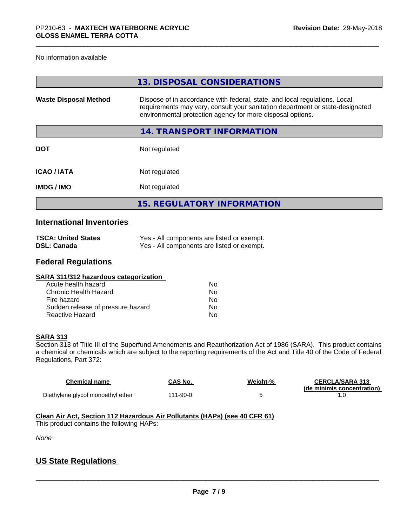#### No information available

|                              | 13. DISPOSAL CONSIDERATIONS                                                                                                                                                                                               |
|------------------------------|---------------------------------------------------------------------------------------------------------------------------------------------------------------------------------------------------------------------------|
| <b>Waste Disposal Method</b> | Dispose of in accordance with federal, state, and local regulations. Local<br>requirements may vary, consult your sanitation department or state-designated<br>environmental protection agency for more disposal options. |
|                              | 14. TRANSPORT INFORMATION                                                                                                                                                                                                 |
| <b>DOT</b>                   | Not regulated                                                                                                                                                                                                             |
| <b>ICAO / IATA</b>           | Not regulated                                                                                                                                                                                                             |
| <b>IMDG/IMO</b>              | Not regulated                                                                                                                                                                                                             |
|                              | <b>15. REGULATORY INFORMATION</b>                                                                                                                                                                                         |

# **International Inventories**

| <b>TSCA: United States</b> | Yes - All components are listed or exempt. |
|----------------------------|--------------------------------------------|
| DSL: Canada                | Yes - All components are listed or exempt. |

### **Federal Regulations**

| Nο |  |
|----|--|
| Nο |  |
| Nο |  |
| No |  |
| No |  |
|    |  |

#### **SARA 313**

Section 313 of Title III of the Superfund Amendments and Reauthorization Act of 1986 (SARA). This product contains a chemical or chemicals which are subject to the reporting requirements of the Act and Title 40 of the Code of Federal Regulations, Part 372:

| <b>Chemical name</b>              | CAS No.  | Weight-% | <b>CERCLA/SARA 313</b><br>(de minimis concentration) |
|-----------------------------------|----------|----------|------------------------------------------------------|
| Diethylene glycol monoethyl ether | 111-90-0 |          |                                                      |

#### **Clean Air Act,Section 112 Hazardous Air Pollutants (HAPs) (see 40 CFR 61)**

This product contains the following HAPs:

*None*

# **US State Regulations**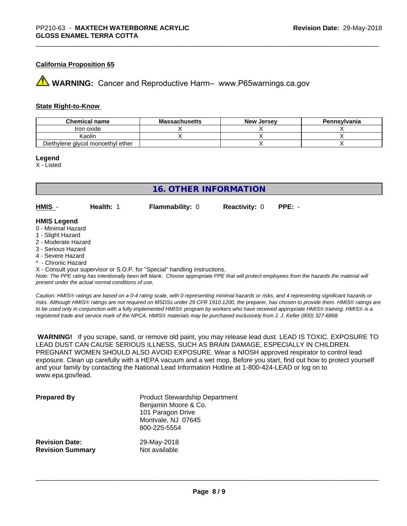### **California Proposition 65**

**A** WARNING: Cancer and Reproductive Harm– www.P65warnings.ca.gov

#### **State Right-to-Know**

| <b>Chemical name</b>              | <b>Massachusetts</b> | <b>New Jersey</b> | Pennsylvania |
|-----------------------------------|----------------------|-------------------|--------------|
| Iron oxide                        |                      |                   |              |
| Kaolin                            |                      |                   |              |
| Diethylene glycol monoethyl ether |                      |                   |              |

#### **Legend**

X - Listed

## **16. OTHER INFORMATION**

**HMIS** - **Health:** 1 **Flammability:** 0 **Reactivity:** 0 **PPE:** -

### **HMIS Legend**

- 0 Minimal Hazard
- 1 Slight Hazard
- 2 Moderate Hazard
- 3 Serious Hazard
- 4 Severe Hazard
- \* Chronic Hazard
- X Consult your supervisor or S.O.P. for "Special" handling instructions.

*Note: The PPE rating has intentionally been left blank. Choose appropriate PPE that will protect employees from the hazards the material will present under the actual normal conditions of use.*

*Caution: HMISÒ ratings are based on a 0-4 rating scale, with 0 representing minimal hazards or risks, and 4 representing significant hazards or risks. Although HMISÒ ratings are not required on MSDSs under 29 CFR 1910.1200, the preparer, has chosen to provide them. HMISÒ ratings are to be used only in conjunction with a fully implemented HMISÒ program by workers who have received appropriate HMISÒ training. HMISÒ is a registered trade and service mark of the NPCA. HMISÒ materials may be purchased exclusively from J. J. Keller (800) 327-6868.*

 **WARNING!** If you scrape, sand, or remove old paint, you may release lead dust. LEAD IS TOXIC. EXPOSURE TO LEAD DUST CAN CAUSE SERIOUS ILLNESS, SUCH AS BRAIN DAMAGE, ESPECIALLY IN CHILDREN. PREGNANT WOMEN SHOULD ALSO AVOID EXPOSURE.Wear a NIOSH approved respirator to control lead exposure. Clean up carefully with a HEPA vacuum and a wet mop. Before you start, find out how to protect yourself and your family by contacting the National Lead Information Hotline at 1-800-424-LEAD or log on to www.epa.gov/lead.

| <b>Prepared By</b>      | <b>Product Stewardship Department</b><br>Benjamin Moore & Co.<br>101 Paragon Drive<br>Montvale, NJ 07645<br>800-225-5554 |
|-------------------------|--------------------------------------------------------------------------------------------------------------------------|
| <b>Revision Date:</b>   | 29-May-2018                                                                                                              |
| <b>Revision Summary</b> | Not available                                                                                                            |